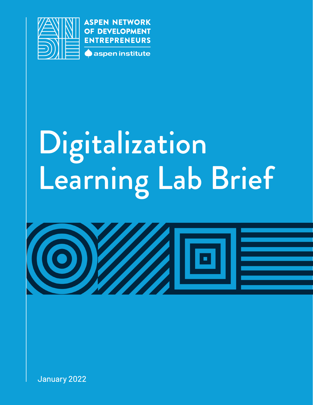

**ASPEN NETWORK** OF DEVELOPMENT **ENTREPRENEURS** aspen institute

# Digitalization Learning Lab Brief



January 2022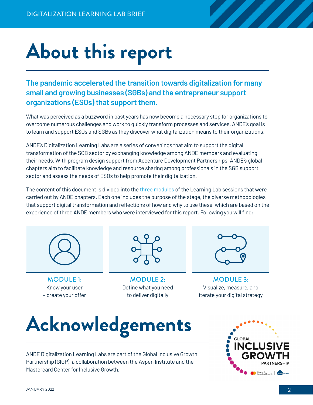## **About this report**

**The pandemic accelerated the transition towards digitalization for many small and growing businesses (SGBs) and the entrepreneur support organizations (ESOs) that support them.** 

What was perceived as a buzzword in past years has now become a necessary step for organizations to overcome numerous challenges and work to quickly transform processes and services. ANDE's goal is to learn and support ESOs and SGBs as they discover what digitalization means to their organizations.

ANDE's Digitalization Learning Labs are a series of convenings that aim to support the digital transformation of the SGB sector by exchanging knowledge among ANDE members and evaluating their needs. With program design support from Accenture Development Partnerships, ANDE's global chapters aim to facilitate knowledge and resource sharing among professionals in the SGB support sector and assess the needs of ESOs to help promote their digitalization.

The content of this document is divided into the [three modules](https://www.andeglobal.org/?action=tracking&file=2022/01/Digitalization-Learning-Lab-Methodology.pdf) of the Learning Lab sessions that were carried out by ANDE chapters. Each one includes the purpose of the stage, the diverse methodologies that support digital transformation and reflections of how and why to use these, which are based on the experience of three ANDE members who were interviewed for this report. Following you will find:



MODULE 1: Know your user – create your offer



MODULE 2: Define what you need to deliver digitally



MODULE 3: Visualize, measure, and iterate your digital strategy

## **Acknowledgements**

ANDE Digitalization Learning Labs are part of the Global Inclusive Growth Partnership (GIGP), a collaboration between the Aspen Institute and the Mastercard Center for Inclusive Growth.

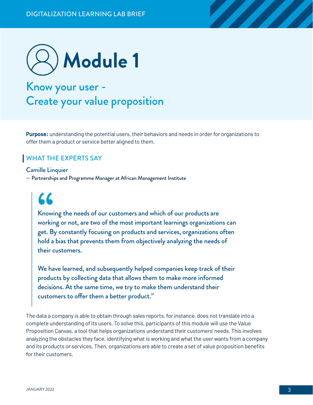

### Know your user - Create your value proposition

**Purpose:** understanding the potential users, their behaviors and needs in order for organizations to offer them a product or service better aligned to them.

#### WHAT THE EXPERTS SAY

Camille Linquier — Partnerships and Programme Manager at African Management Institute

**"**

Knowing the needs of our customers and which of our products are working or not, are two of the most important learnings organizations can get. By constantly focusing on products and services, organizations often hold a bias that prevents them from objectively analyzing the needs of their customers.

We have learned, and subsequently helped companies keep track of their products by collecting data that allows them to make more informed decisions. At the same time, we try to make them understand their customers to offer them a better product."

The data a company is able to obtain through sales reports, for instance, does not translate into a complete understanding of its users. To solve this, participants of this module will use the Value Proposition Canvas, a tool that helps organizations understand their customers' needs. This involves analyzing the obstacles they face, identifying what is working and what the user wants from a company and its products or services. Then, organizations are able to create a set of value proposition benefits for their customers.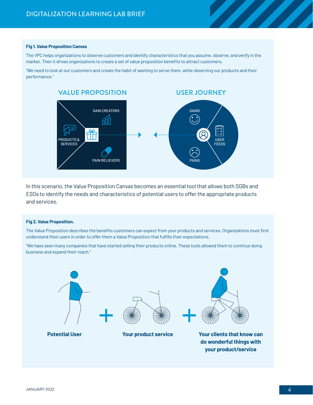#### **Fig 1. Value Proposition Canvas**

The VPC helps organizations to observe customers and identify characteristics that you assume, observe, and verify in the market. Then it drives organizations to create a set of value proposition benefits to attract customers.

"We need to look at our customers and create the habit of wanting to serve them, while observing our products and their performance."



In this scenario, the Value Proposition Canvas becomes an essential tool that allows both SGBs and ESOs to identify the needs and characteristics of potential users to offer the appropriate products and services.

#### **Fig 2. Value Proposition.**

The Value Proposition describes the benefits customers can expect from your products and services. Organizations must first understand their users in order to offer them a Value Proposition that fulfills their expectations.

"We have seen many companies that have started selling their products online. These tools allowed them to continue doing business and expand their reach."



**your product/service**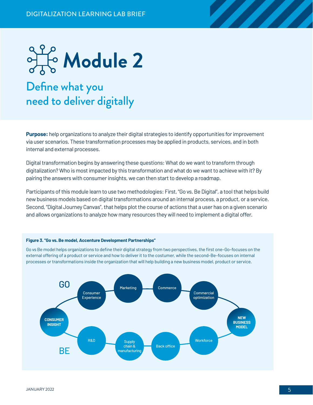

**Purpose:** help organizations to analyze their digital strategies to identify opportunities for improvement via user scenarios. These transformation processes may be applied in products, services, and in both internal and external processes.

Digital transformation begins by answering these questions: What do we want to transform through digitalization? Who is most impacted by this transformation and what do we want to achieve with it? By pairing the answers with consumer insights, we can then start to develop a roadmap.

Participants of this module learn to use two methodologies: First, "Go vs. Be Digital", a tool that helps build new business models based on digital transformations around an internal process, a product, or a service. Second, "Digital Journey Canvas", that helps plot the course of actions that a user has on a given scenario and allows organizations to analyze how many resources they will need to implement a digital offer.

#### **Figure 3. "Go vs. Be model, Accenture Development Partnerships"**

Go vs Be model helps organizations to define their digital strategy from two perspectives, the first one–Go–focuses on the external offering of a product or service and how to deliver it to the costumer, while the second–Be–focuses on internal processes or transformations inside the organization that will help building a new business model, product or service.

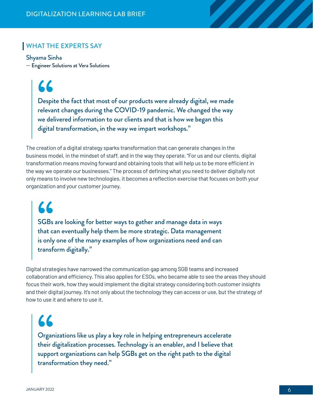#### WHAT THE EXPERTS SAY

Shyama Sinha — Engineer Solutions at Vera Solutions

**"**

Despite the fact that most of our products were already digital, we made relevant changes during the COVID-19 pandemic. We changed the way we delivered information to our clients and that is how we began this digital transformation, in the way we impart workshops."

The creation of a digital strategy sparks transformation that can generate changes in the business model, in the mindset of staff, and in the way they operate. "For us and our clients, digital transformation means moving forward and obtaining tools that will help us to be more efficient in the way we operate our businesses." The process of defining what you need to deliver digitally not only means to involve new technologies, it becomes a reflection exercise that focuses on both your organization and your customer journey.

**"**

SGBs are looking for better ways to gather and manage data in ways that can eventually help them be more strategic. Data management is only one of the many examples of how organizations need and can transform digitally."

Digital strategies have narrowed the communication gap among SGB teams and increased collaboration and efficiency. This also applies for ESOs, who became able to see the areas they should focus their work, how they would implement the digital strategy considering both customer insights and their digital journey. It's not only about the technology they can access or use, but the strategy of how to use it and where to use it.

Organizations like us play a key role in helping entrepreneurs accelerate their digitalization processes. Technology is an enabler, and I believe that **"** support organizations can help SGBs get on the right path to the digital transformation they need."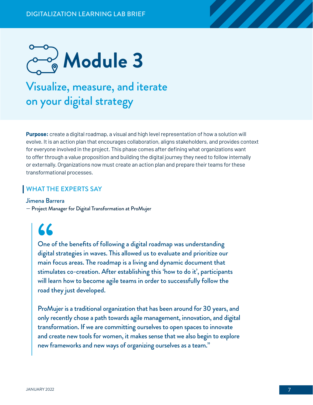

### Visualize, measure, and iterate on your digital strategy

**Purpose:** create a digital roadmap, a visual and high level representation of how a solution will evolve. It is an action plan that encourages collaboration, aligns stakeholders, and provides context for everyone involved in the project. This phase comes after defining what organizations want to offer through a value proposition and building the digital journey they need to follow internally or externally. Organizations now must create an action plan and prepare their teams for these transformational processes.

#### WHAT THE EXPERTS SAY

#### Jimena Barrera

— Project Manager for Digital Transformation at ProMujer

### **"**

One of the benefits of following a digital roadmap was understanding digital strategies in waves. This allowed us to evaluate and prioritize our main focus areas. The roadmap is a living and dynamic document that stimulates co-creation. After establishing this 'how to do it', participants will learn how to become agile teams in order to successfully follow the road they just developed.

ProMujer is a traditional organization that has been around for 30 years, and only recently chose a path towards agile management, innovation, and digital transformation. If we are committing ourselves to open spaces to innovate and create new tools for women, it makes sense that we also begin to explore new frameworks and new ways of organizing ourselves as a team."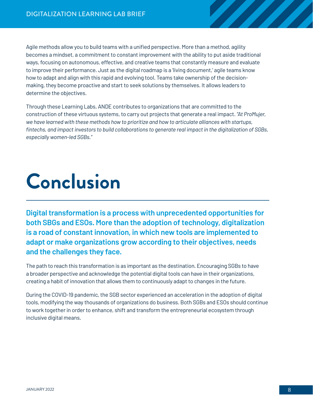Agile methods allow you to build teams with a unified perspective. More than a method, agility becomes a mindset, a commitment to constant improvement with the ability to put aside traditional ways, focusing on autonomous, effective, and creative teams that constantly measure and evaluate to improve their performance. Just as the digital roadmap is a 'living document,' agile teams know how to adapt and align with this rapid and evolving tool. Teams take ownership of the decisionmaking, they become proactive and start to seek solutions by themselves. It allows leaders to determine the objectives.

Through these Learning Labs, ANDE contributes to organizations that are committed to the construction of these virtuous systems, to carry out projects that generate a real impact. *"At ProMujer, we have learned with these methods how to prioritize and how to articulate alliances with startups, fintechs, and impact investors to build collaborations to generate real impact in the digitalization of SGBs, especially women-led SGBs."*

## **Conclusion**

**Digital transformation is a process with unprecedented opportunities for both SBGs and ESOs. More than the adoption of technology, digitalization is a road of constant innovation, in which new tools are implemented to adapt or make organizations grow according to their objectives, needs and the challenges they face.**

The path to reach this transformation is as important as the destination. Encouraging SGBs to have a broader perspective and acknowledge the potential digital tools can have in their organizations, creating a habit of innovation that allows them to continuously adapt to changes in the future.

During the COVID-19 pandemic, the SGB sector experienced an acceleration in the adoption of digital tools, modifying the way thousands of organizations do business. Both SGBs and ESOs should continue to work together in order to enhance, shift and transform the entrepreneurial ecosystem through inclusive digital means.